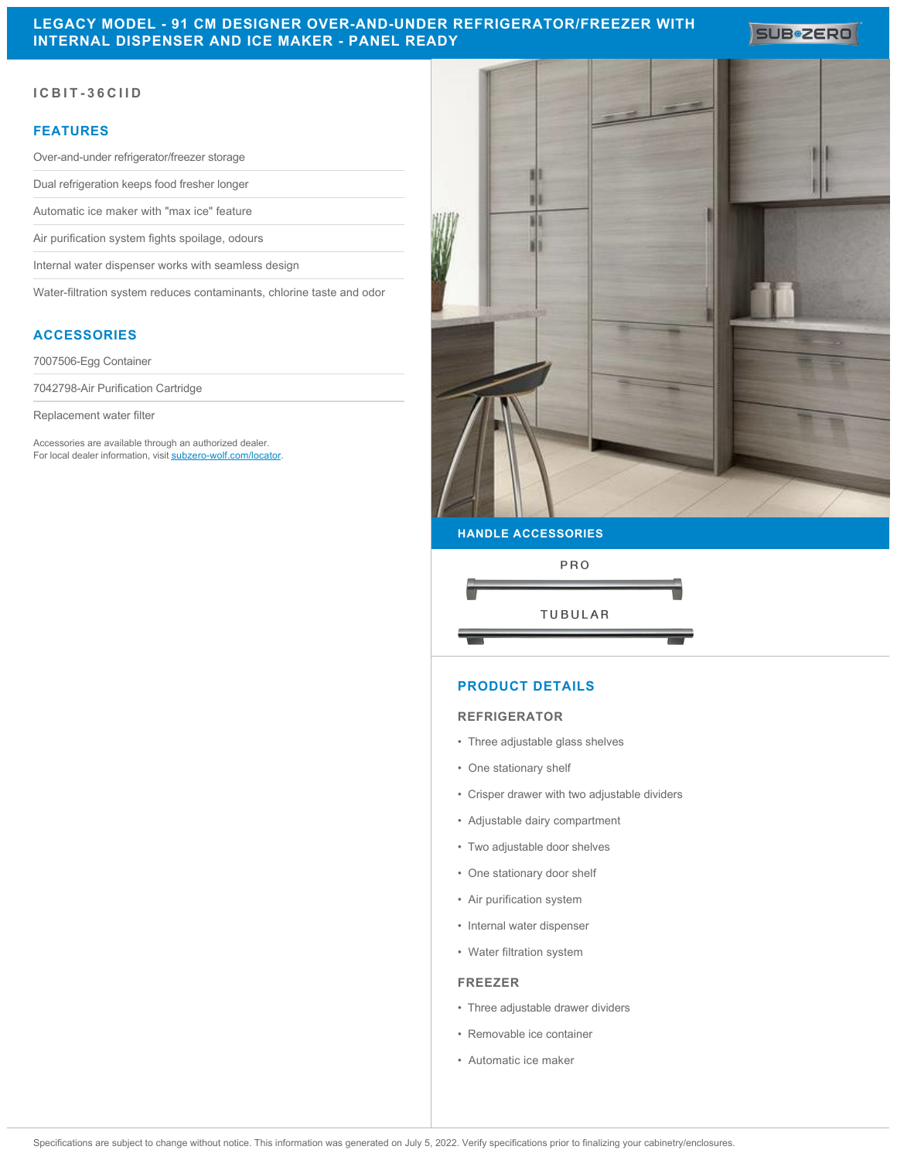## **LEGACY MODEL - 91 CM DESIGNER OVER-AND-UNDER REFRIGERATOR/FREEZER WITH INTERNAL DISPENSER AND ICE MAKER - PANEL READY**

SUB<sup>\*</sup>ZERO

## **ICBIT-36CIID**

## **FEATURES**

Over-and-under refrigerator/freezer storage

Dual refrigeration keeps food fresher longer

Automatic ice maker with "max ice" feature

Air purification system fights spoilage, odours

Internal water dispenser works with seamless design

Water-filtration system reduces contaminants, chlorine taste and odor

## **ACCESSORIES**

7007506-Egg Container

7042798-Air Purification Cartridge

Replacement water filter

Accessories are available through an authorized dealer. For local dealer information, visit [subzero-wolf.com/locator.](http://www.subzero-wolf.com/locator)



#### **HANDLE ACCESSORIES**



#### **PRODUCT DETAILS**

#### **REFRIGERATOR**

- Three adjustable glass shelves
- One stationary shelf
- Crisper drawer with two adjustable dividers
- Adjustable dairy compartment
- Two adjustable door shelves
- One stationary door shelf
- Air purification system
- Internal water dispenser
- Water filtration system

#### **FREEZER**

- Three adjustable drawer dividers
- Removable ice container
- Automatic ice maker